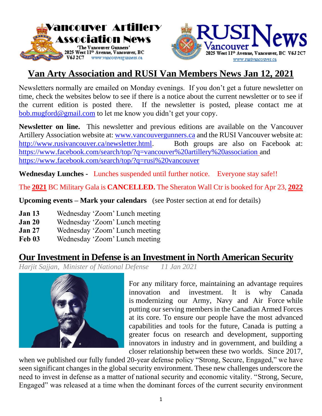



# **Van Arty Association and RUSI Van Members News Jan 12, 2021**

Newsletters normally are emailed on Monday evenings. If you don't get a future newsletter on time, check the websites below to see if there is a notice about the current newsletter or to see if the current edition is posted there. If the newsletter is posted, please contact me at [bob.mugford@gmail.com](mailto:bob.mugford@gmail.com) to let me know you didn't get your copy.

**Newsletter on line.** This newsletter and previous editions are available on the Vancouver Artillery Association website at: [www.vancouvergunners.ca](http://www.vancouvergunners.ca/) and the RUSI Vancouver website at: [http://www.rusivancouver.ca/newsletter.html.](http://www.rusivancouver.ca/newsletter.html) Both groups are also on Facebook at: <https://www.facebook.com/search/top/?q=vancouver%20artillery%20association> and <https://www.facebook.com/search/top/?q=rusi%20vancouver>

**Wednesday Lunches -** Lunches suspended until further notice. Everyone stay safe!!

The **2021** BC Military Gala is **CANCELLED.** The Sheraton Wall Ctr is booked for Apr 23, **2022**

**Upcoming events – Mark your calendars** (see Poster section at end for details)

- **Jan 13** Wednesday 'Zoom' Lunch meeting
- **Jan 20** Wednesday 'Zoom' Lunch meeting
- **Jan 27** Wednesday 'Zoom' Lunch meeting
- **Feb 03** Wednesday 'Zoom' Lunch meeting

### **Our Investment in Defense is an Investment in North American Security**

*Harjit Sajjan, Minister of National Defense 11 Jan 2021*



For any military force, maintaining an advantage requires innovation and investment. It is why Canada is modernizing our Army, Navy and Air Force while putting our serving members in the Canadian Armed Forces at its core. To ensure our people have the most advanced capabilities and tools for the future, Canada is putting a greater focus on research and development, supporting innovators in industry and in government, and building a closer relationship between these two worlds. Since 2017,

when we published our fully funded 20-year defense policy "Strong, Secure, Engaged," we have seen significant changes in the global security environment. These new challenges underscore the need to invest in defense as a matter of national security and economic vitality. "Strong, Secure, Engaged" was released at a time when the dominant forces of the current security environment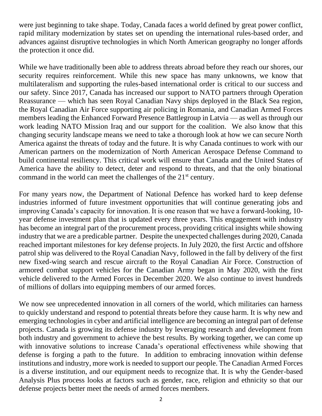were just beginning to take shape. Today, Canada faces a world defined by great power conflict, rapid military modernization by states set on upending the international rules-based order, and advances against disruptive technologies in which North American geography no longer affords the protection it once did.

While we have traditionally been able to address threats abroad before they reach our shores, our security requires reinforcement. While this new space has many unknowns, we know that multilateralism and supporting the rules-based international order is critical to our success and our safety. Since 2017, Canada has increased our support to NATO partners through Operation Reassurance — which has seen Royal Canadian Navy ships deployed in the Black Sea region, the Royal Canadian Air Force supporting air policing in Romania, and Canadian Armed Forces members leading the Enhanced Forward Presence Battlegroup in Latvia — as well as through our work leading NATO Mission Iraq and our support for the coalition. We also know that this changing security landscape means we need to take a thorough look at how we can secure North America against the threats of today and the future. It is why Canada continues to work with our American partners on the modernization of North American Aerospace Defense Command to build continental resiliency. This critical work will ensure that Canada and the United States of America have the ability to detect, deter and respond to threats, and that the only binational command in the world can meet the challenges of the 21<sup>st</sup> century.

For many years now, the Department of National Defence has worked hard to keep defense industries informed of future investment opportunities that will continue generating jobs and improving Canada's capacity for innovation. It is one reason that we have a forward-looking, 10 year defense investment plan that is updated every three years. This engagement with industry has become an integral part of the procurement process, providing critical insights while showing industry that we are a predicable partner. Despite the unexpected challenges during 2020, Canada reached important milestones for key defense projects. In July 2020, the first Arctic and offshore patrol ship was delivered to the Royal Canadian Navy, followed in the fall by delivery of the first new fixed-wing search and rescue aircraft to the Royal Canadian Air Force. Construction of armored combat support vehicles for the Canadian Army began in May 2020, with the first vehicle delivered to the Armed Forces in December 2020. We also continue to invest hundreds of millions of dollars into equipping members of our armed forces.

We now see unprecedented innovation in all corners of the world, which militaries can harness to quickly understand and respond to potential threats before they cause harm. It is why new and emerging technologies in cyber and artificial intelligence are becoming an integral part of defense projects. Canada is growing its defense industry by leveraging research and development from both industry and government to achieve the best results. By working together, we can come up with innovative solutions to increase Canada's operational effectiveness while showing that defense is forging a path to the future. In addition to embracing innovation within defense institutions and industry, more work is needed to support our people. The Canadian Armed Forces is a diverse institution, and our equipment needs to recognize that. It is why the Gender-based Analysis Plus process looks at factors such as gender, race, religion and ethnicity so that our defense projects better meet the needs of armed forces members.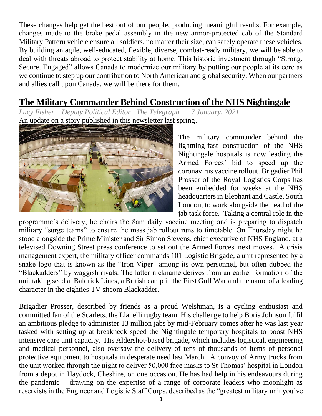These changes help get the best out of our people, producing meaningful results. For example, changes made to the brake pedal assembly in the new armor-protected cab of the Standard Military Pattern vehicle ensure all soldiers, no matter their size, can safely operate these vehicles. By building an agile, well-educated, flexible, diverse, combat-ready military, we will be able to deal with threats abroad to protect stability at home. This historic investment through "Strong, Secure, Engaged" allows Canada to modernize our military by putting our people at its core as we continue to step up our contribution to North American and global security. When our partners and allies call upon Canada, we will be there for them.

### **The Military Commander Behind Construction of the NHS Nightingale**

*Lucy Fisher Deputy Political Editor The Telegraph 7 January, 2021* An update on a story published in this newsletter last spring.



The military commander behind the lightning-fast construction of the NHS Nightingale hospitals is now leading the Armed Forces' bid to speed up the coronavirus vaccine rollout. Brigadier Phil Prosser of the Royal Logistics Corps has been embedded for weeks at the NHS headquarters in Elephant and Castle, South London, to work alongside the head of the jab task force. Taking a central role in the

programme's delivery, he chairs the 8am daily vaccine meeting and is preparing to dispatch military "surge teams" to ensure the mass jab rollout runs to timetable. On Thursday night he stood alongside the Prime Minister and Sir Simon Stevens, chief executive of NHS England, at a televised Downing Street press conference to set out the Armed Forces' next moves. A crisis management expert, the military officer commands 101 Logistic Brigade, a unit represented by a snake logo that is known as the "Iron Viper" among its own personnel, but often dubbed the "Blackadders" by waggish rivals. The latter nickname derives from an earlier formation of the unit taking seed at Baldrick Lines, a British camp in the First Gulf War and the name of a leading character in the eighties TV sitcom Blackadder.

Brigadier Prosser, described by friends as a proud Welshman, is a cycling enthusiast and committed fan of the Scarlets, the Llanelli rugby team. His challenge to help Boris Johnson fulfil an ambitious pledge to administer 13 million jabs by mid-February comes after he was last year tasked with setting up at breakneck speed the Nightingale temporary hospitals to boost NHS intensive care unit capacity. His Aldershot-based brigade, which includes logistical, engineering and medical personnel, also oversaw the delivery of tens of thousands of items of personal protective equipment to hospitals in desperate need last March. A convoy of Army trucks from the unit worked through the night to deliver 50,000 face masks to St Thomas' hospital in London from a depot in Haydock, Cheshire, on one occasion. He has had help in his endeavours during the pandemic – drawing on the expertise of a range of corporate leaders who moonlight as reservists in the Engineer and Logistic Staff Corps, described as the "greatest military unit you've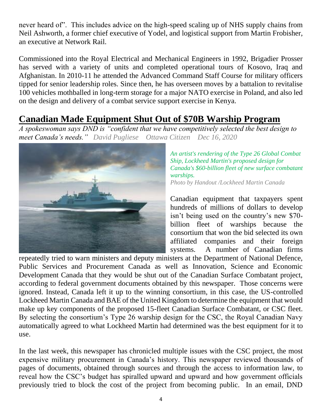never heard of". This includes advice on the high-speed scaling up of NHS supply chains from Neil Ashworth, a former chief executive of Yodel, and logistical support from Martin Frobisher, an executive at Network Rail.

Commissioned into the Royal Electrical and Mechanical Engineers in 1992, Brigadier Prosser has served with a variety of units and completed operational tours of Kosovo, Iraq and Afghanistan. In 2010-11 he attended the Advanced Command Staff Course for military officers tipped for senior leadership roles. Since then, he has overseen moves by a battalion to revitalise 100 vehicles mothballed in long-term storage for a major NATO exercise in Poland, and also led on the design and delivery of a combat service support exercise in Kenya.

## **Canadian Made Equipment Shut Out of \$70B Warship Program**

*A spokeswoman says DND is "confident that we have competitively selected the best design to meet Canada's needs." David Pugliese Ottawa Citizen Dec 16, 2020*



*An artist's rendering of the Type 26 Global Combat Ship, Lockheed Martin's proposed design for Canada's \$60-billion fleet of new surface combatant warships. Photo by Handout /Lockheed Martin Canada*

Canadian equipment that taxpayers spent hundreds of millions of dollars to develop isn't being used on the country's new \$70 billion fleet of warships because the consortium that won the bid selected its own affiliated companies and their foreign systems. A number of Canadian firms

repeatedly tried to warn ministers and deputy ministers at the Department of National Defence, Public Services and Procurement Canada as well as Innovation, Science and Economic Development Canada that they would be shut out of the Canadian Surface Combatant project, according to federal government documents obtained by this newspaper. Those concerns were ignored. Instead, Canada left it up to the winning consortium, in this case, the US-controlled Lockheed Martin Canada and BAE of the United Kingdom to determine the equipment that would make up key components of the proposed 15-fleet Canadian Surface Combatant, or CSC fleet. By selecting the consortium's Type 26 warship design for the CSC, the Royal Canadian Navy automatically agreed to what Lockheed Martin had determined was the best equipment for it to use.

In the last week, this newspaper has chronicled multiple issues with the CSC project, the most expensive military procurement in Canada's history. This newspaper reviewed thousands of pages of documents, obtained through sources and through the access to information law, to reveal how the CSC's budget has spiralled upward and upward and how government officials previously tried to block the cost of the project from becoming public. In an email, DND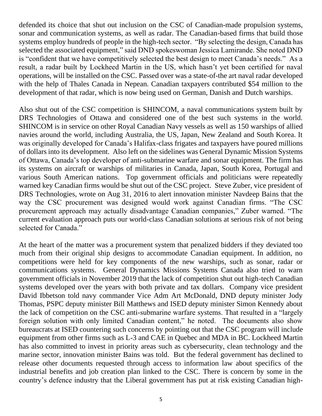defended its choice that shut out inclusion on the CSC of Canadian-made propulsion systems, sonar and communication systems, as well as radar. The Canadian-based firms that build those systems employ hundreds of people in the high-tech sector. "By selecting the design, Canada has selected the associated equipment," said DND spokeswoman Jessica Lamirande. She noted DND is "confident that we have competitively selected the best design to meet Canada's needs." As a result, a radar built by Lockheed Martin in the US, which hasn't yet been certified for naval operations, will be installed on the CSC. Passed over was a state-of-the art naval radar developed with the help of Thales Canada in Nepean. Canadian taxpayers contributed \$54 million to the development of that radar, which is now being used on German, Danish and Dutch warships.

Also shut out of the CSC competition is SHINCOM, a naval communications system built by DRS Technologies of Ottawa and considered one of the best such systems in the world. SHINCOM is in service on other Royal Canadian Navy vessels as well as 150 warships of allied navies around the world, including Australia, the US, Japan, New Zealand and South Korea. It was originally developed for Canada's Halifax-class frigates and taxpayers have poured millions of dollars into its development. Also left on the sidelines was General Dynamic Mission Systems of Ottawa, Canada's top developer of anti-submarine warfare and sonar equipment. The firm has its systems on aircraft or warships of militaries in Canada, Japan, South Korea, Portugal and various South American nations. Top government officials and politicians were repeatedly warned key Canadian firms would be shut out of the CSC project. Steve Zuber, vice president of DRS Technologies, wrote on Aug 31, 2016 to alert innovation minister Navdeep Bains that the way the CSC procurement was designed would work against Canadian firms. "The CSC procurement approach may actually disadvantage Canadian companies," Zuber warned. "The current evaluation approach puts our world-class Canadian solutions at serious risk of not being selected for Canada."

At the heart of the matter was a procurement system that penalized bidders if they deviated too much from their original ship designs to accommodate Canadian equipment. In addition, no competitions were held for key components of the new warships, such as sonar, radar or communications systems. General Dynamics Missions Systems Canada also tried to warn government officials in November 2019 that the lack of competition shut out high-tech Canadian systems developed over the years with both private and tax dollars. Company vice president David Ibbetson told navy commander Vice Adm Art McDonald, DND deputy minister Jody Thomas, PSPC deputy minister Bill Matthews and ISED deputy minister Simon Kennedy about the lack of competition on the CSC anti-submarine warfare systems. That resulted in a "largely foreign solution with only limited Canadian content," he noted. The documents also show bureaucrats at ISED countering such concerns by pointing out that the CSC program will include equipment from other firms such as L-3 and CAE in Quebec and MDA in BC. Lockheed Martin has also committed to invest in priority areas such as cybersecurity, clean technology and the marine sector, innovation minister Bains was told. But the federal government has declined to release other documents requested through access to information law about specifics of the industrial benefits and job creation plan linked to the CSC. There is concern by some in the country's defence industry that the Liberal government has put at risk existing Canadian high-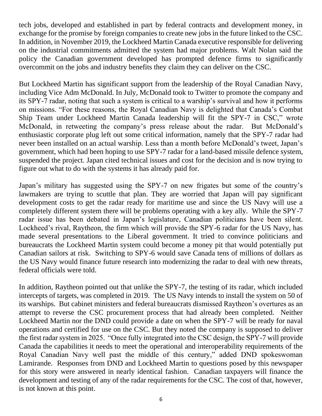tech jobs, developed and established in part by federal contracts and development money, in exchange for the promise by foreign companies to create new jobs in the future linked to the CSC. In addition, in November 2019, the Lockheed Martin Canada executive responsible for delivering on the industrial commitments admitted the system had major problems. Walt Nolan said the policy the Canadian government developed has prompted defence firms to significantly overcommit on the jobs and industry benefits they claim they can deliver on the CSC.

But Lockheed Martin has significant support from the leadership of the Royal Canadian Navy, including Vice Adm McDonald. In July, McDonald took to Twitter to promote the company and its SPY-7 radar, noting that such a system is critical to a warship's survival and how it performs on missions. "For these reasons, the Royal Canadian Navy is delighted that Canada's Combat Ship Team under Lockheed Martin Canada leadership will fit the SPY-7 in CSC," wrote McDonald, in retweeting the company's press release about the radar. But McDonald's enthusiastic corporate plug left out some critical information, namely that the SPY-7 radar had never been installed on an actual warship. Less than a month before McDonald's tweet, Japan's government, which had been hoping to use SPY-7 radar for a land-based missile defence system, suspended the project. Japan cited technical issues and cost for the decision and is now trying to figure out what to do with the systems it has already paid for.

Japan's military has suggested using the SPY-7 on new frigates but some of the country's lawmakers are trying to scuttle that plan. They are worried that Japan will pay significant development costs to get the radar ready for maritime use and since the US Navy will use a completely different system there will be problems operating with a key ally. While the SPY-7 radar issue has been debated in Japan's legislature, Canadian politicians have been silent. Lockheed's rival, Raytheon, the firm which will provide the SPY-6 radar for the US Navy, has made several presentations to the Liberal government. It tried to convince politicians and bureaucrats the Lockheed Martin system could become a money pit that would potentially put Canadian sailors at risk. Switching to SPY-6 would save Canada tens of millions of dollars as the US Navy would finance future research into modernizing the radar to deal with new threats, federal officials were told.

In addition, Raytheon pointed out that unlike the SPY-7, the testing of its radar, which included intercepts of targets, was completed in 2019. The US Navy intends to install the system on 50 of its warships. But cabinet ministers and federal bureaucrats dismissed Raytheon's overtures as an attempt to reverse the CSC procurement process that had already been completed. Neither Lockheed Martin nor the DND could provide a date on when the SPY-7 will be ready for naval operations and certified for use on the CSC. But they noted the company is supposed to deliver the first radar system in 2025. "Once fully integrated into the CSC design, the SPY-7 will provide Canada the capabilities it needs to meet the operational and interoperability requirements of the Royal Canadian Navy well past the middle of this century," added DND spokeswoman Lamirande. Responses from DND and Lockheed Martin to questions posed by this newspaper for this story were answered in nearly identical fashion. Canadian taxpayers will finance the development and testing of any of the radar requirements for the CSC. The cost of that, however, is not known at this point.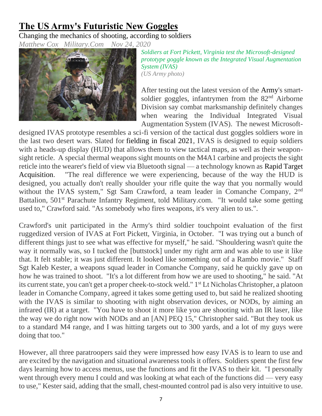## **The US Army's Futuristic New Goggles**

### Changing the mechanics of shooting, according to soldiers

*Matthew Cox Military.Com Nov 24, 2020* 



*Soldiers at Fort Pickett, Virginia test the Microsoft-designed prototype goggle known as the Integrated Visual Augmentation System (IVAS) (US Army photo)*

After testing out the latest version of the Army's smartsoldier goggles, infantrymen from the  $82<sup>nd</sup>$  Airborne Division say combat marksmanship definitely changes when wearing the Individual Integrated Visual Augmentation System (IVAS). The newest Microsoft-

designed IVAS prototype resembles a sci-fi version of the tactical dust goggles soldiers wore in the last two desert wars. Slated for fielding in fiscal 2021, IVAS is designed to equip soldiers with a heads-up display (HUD) that allows them to view tactical maps, as well as their weaponsight reticle. A special thermal weapons sight mounts on the M4A1 carbine and projects the sight reticle into the wearer's field of view via Bluetooth signal — a technology known as Rapid Target Acquisition. "The real difference we were experiencing, because of the way the HUD is designed, you actually don't really shoulder your rifle quite the way that you normally would without the IVAS system," Sgt Sam Crawford, a team leader in Comanche Company, 2<sup>nd</sup> Battalion, 501<sup>st</sup> Parachute Infantry Regiment, told Military.com. "It would take some getting used to," Crawford said. "As somebody who fires weapons, it's very alien to us.".

Crawford's unit participated in the Army's third soldier touchpoint evaluation of the first ruggedized version of IVAS at Fort Pickett, Virginia, in October. "I was trying out a bunch of different things just to see what was effective for myself," he said. "Shouldering wasn't quite the way it normally was, so I tucked the [buttstock] under my right arm and was able to use it like that. It felt stable; it was just different. It looked like something out of a Rambo movie." Staff Sgt Kaleb Kester, a weapons squad leader in Comanche Company, said he quickly gave up on how he was trained to shoot. "It's a lot different from how we are used to shooting," he said. "At its current state, you can't get a proper cheek-to-stock weld." 1<sup>st</sup> Lt Nicholas Christopher, a platoon leader in Comanche Company, agreed it takes some getting used to, but said he realized shooting with the IVAS is similar to shooting with night observation devices, or NODs, by aiming an infrared (IR) at a target. "You have to shoot it more like you are shooting with an IR laser, like the way we do right now with NODs and an [AN] PEQ 15," Christopher said. "But they took us to a standard M4 range, and I was hitting targets out to 300 yards, and a lot of my guys were doing that too."

However, all three paratroopers said they were impressed how easy IVAS is to learn to use and are excited by the navigation and situational awareness tools it offers. Soldiers spent the first few days learning how to access menus, use the functions and fit the IVAS to their kit. "I personally went through every menu I could and was looking at what each of the functions did — very easy to use," Kester said, adding that the small, chest-mounted control pad is also very intuitive to use.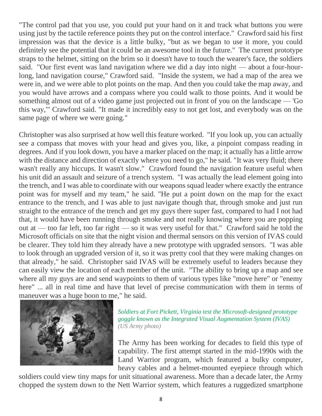"The control pad that you use, you could put your hand on it and track what buttons you were using just by the tactile reference points they put on the control interface." Crawford said his first impression was that the device is a little bulky, "but as we began to use it more, you could definitely see the potential that it could be an awesome tool in the future." The current prototype straps to the helmet, sitting on the brim so it doesn't have to touch the wearer's face, the soldiers said. "Our first event was land navigation where we did a day into night — about a four-hourlong, land navigation course," Crawford said. "Inside the system, we had a map of the area we were in, and we were able to plot points on the map. And then you could take the map away, and you would have arrows and a compass where you could walk to those points. And it would be something almost out of a video game just projected out in front of you on the landscape — 'Go this way,'" Crawford said. "It made it incredibly easy to not get lost, and everybody was on the same page of where we were going."

Christopher was also surprised at how well this feature worked. "If you look up, you can actually see a compass that moves with your head and gives you, like, a pinpoint compass reading in degrees. And if you look down, you have a marker placed on the map; it actually has a little arrow with the distance and direction of exactly where you need to go," he said. "It was very fluid; there wasn't really any hiccups. It wasn't slow." Crawford found the navigation feature useful when his unit did an assault and seizure of a trench system. "I was actually the lead element going into the trench, and I was able to coordinate with our weapons squad leader where exactly the entrance point was for myself and my team," he said. "He put a point down on the map for the exact entrance to the trench, and I was able to just navigate though that, through smoke and just run straight to the entrance of the trench and get my guys there super fast, compared to had I not had that, it would have been running through smoke and not really knowing where you are popping out at — too far left, too far right — so it was very useful for that." Crawford said he told the Microsoft officials on site that the night vision and thermal sensors on this version of IVAS could be clearer. They told him they already have a new prototype with upgraded sensors. "I was able to look through an upgraded version of it, so it was pretty cool that they were making changes on that already," he said. Christopher said IVAS will be extremely useful to leaders because they can easily view the location of each member of the unit. "The ability to bring up a map and see where all my guys are and send waypoints to them of various types like "move here" or "enemy here" ... all in real time and have that level of precise communication with them in terms of maneuver was a huge boon to me," he said.



*Soldiers at Fort Pickett, Virginia test the Microsoft-designed prototype goggle known as the Integrated Visual Augmentation System (IVAS) (US Army photo)*

The Army has been working for decades to field this type of capability. The first attempt started in the mid-1990s with the Land Warrior program, which featured a bulky computer, heavy cables and a helmet-mounted eyepiece through which

soldiers could view tiny maps for unit situational awareness. More than a decade later, the Army chopped the system down to the Nett Warrior system, which features a ruggedized smartphone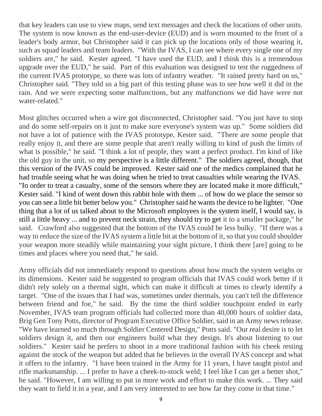that key leaders can use to view maps, send text messages and check the locations of other units. The system is now known as the end-user-device (EUD) and is worn mounted to the front of a leader's body armor, but Christopher said it can pick up the locations only of those wearing it, such as squad leaders and team leaders. "With the IVAS, I can see where every single one of my soldiers are," he said. Kester agreed. "I have used the EUD, and I think this is a tremendous upgrade over the EUD," he said. Part of this evaluation was designed to test the ruggedness of the current IVAS prototype, so there was lots of infantry weather. "It rained pretty hard on us," Christopher said. "They told us a big part of this testing phase was to see how well it did in the rain. And we were expecting some malfunctions, but any malfunctions we did have were not water-related."

Most glitches occurred when a wire got disconnected, Christopher said. "You just have to stop and do some self-repairs on it just to make sure everyone's system was up." Some soldiers did not have a lot of patience with the IVAS prototype, Kester said. "There are some people that really enjoy it, and there are some people that aren't really willing to kind of push the limits of what is possible," he said. "I think a lot of people, they want a perfect product. I'm kind of like the old guy in the unit, so my perspective is a little different." The soldiers agreed, though, that this version of the IVAS could be improved. Kester said one of the medics complained that he had trouble seeing what he was doing when he tried to treat casualties while wearing the IVAS. "In order to treat a casualty, some of the sensors where they are located make it more difficult," Kester said. "I kind of went down this rabbit hole with them ... of how do we place the sensor so you can see a little bit better below you." Christopher said he wants the device to be lighter. "One thing that a lot of us talked about to the Microsoft employees is the system itself, I would say, is still a little heavy ... and to prevent neck strain, they should try to get it to a smaller package," he said. Crawford also suggested that the bottom of the IVAS could be less bulky. "If there was a way to reduce the size of the IVAS system a little bit at the bottom of it, so that you could shoulder your weapon more steadily while maintaining your sight picture, I think there [are] going to be times and places where you need that," he said.

Army officials did not immediately respond to questions about how much the system weighs or its dimensions. Kester said he suggested to program officials that IVAS could work better if it didn't rely solely on a thermal sight, which can make it difficult at times to clearly identify a target. "One of the issues that I had was, sometimes under thermals, you can't tell the difference between friend and foe," he said. By the time the third soldier touchpoint ended in early November, IVAS team program officials had collected more than 40,000 hours of soldier data, Brig Gen Tony Potts, director of Program Executive Office Soldier, said in an Army news release. "We have learned so much through Soldier Centered Design," Potts said. "Our real desire is to let soldiers design it, and then our engineers build what they design. It's about listening to our soldiers." Kester said he prefers to shoot in a more traditional fashion with his cheek resting against the stock of the weapon but added that he believes in the overall IVAS concept and what it offers to the infantry. "I have been trained in the Army for 11 years, I have taught pistol and rifle marksmanship. ... I prefer to have a cheek-to-stock weld; I feel like I can get a better shot," he said. "However, I am willing to put in more work and effort to make this work. ... They said they want to field it in a year, and I am very interested to see how far they come in that time."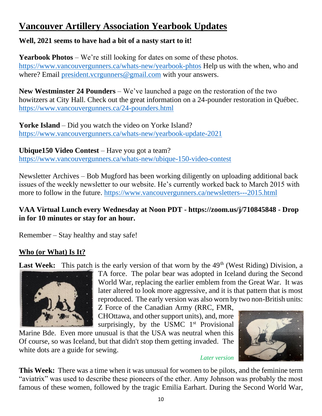# **Vancouver Artillery Association Yearbook Updates**

#### **Well, 2021 seems to have had a bit of a nasty start to it!**

**Yearbook Photos** – We're still looking for dates on some of these photos. <https://www.vancouvergunners.ca/whats-new/yearbook-phtos> Help us with the when, who and where? Email [president.vcrgunners@gmail.com](mailto:president.vcrgunners@gmail.com) with your answers.

**New Westminster 24 Pounders** – We've launched a page on the restoration of the two howitzers at City Hall. Check out the great information on a 24-pounder restoration in Québec. <https://www.vancouvergunners.ca/24-pounders.html>

**Yorke Island** – Did you watch the video on Yorke Island? <https://www.vancouvergunners.ca/whats-new/yearbook-update-2021>

**Ubique150 Video Contest** – Have you got a team? <https://www.vancouvergunners.ca/whats-new/ubique-150-video-contest>

Newsletter Archives – Bob Mugford has been working diligently on uploading additional back issues of the weekly newsletter to our website. He's currently worked back to March 2015 with more to follow in the future.<https://www.vancouvergunners.ca/newsletters---2015.html>

### **VAA Virtual Lunch every Wednesday at Noon PDT - https://zoom.us/j/710845848 - Drop in for 10 minutes or stay for an hour.**

Remember – Stay healthy and stay safe!

### **Who (or What) Is It?**

Last Week: This patch is the early version of that worn by the 49<sup>th</sup> (West Riding) Division, a



TA force. The polar bear was adopted in Iceland during the Second World War, replacing the earlier emblem from the Great War. It was later altered to look more aggressive, and it is that pattern that is most reproduced. The early version was also worn by two non-British units:

Z Force of the Canadian Army (RRC, FMR, CHOttawa, and other support units), and, more surprisingly, by the USMC  $1<sup>st</sup>$  Provisional

Marine Bde. Even more unusual is that the USA was neutral when this Of course, so was Iceland, but that didn't stop them getting invaded. The white dots are a guide for sewing.



*Later version*

**This Week:** There was a time when it was unusual for women to be pilots, and the feminine term "aviatrix" was used to describe these pioneers of the ether. Amy Johnson was probably the most famous of these women, followed by the tragic Emilia Earhart. During the Second World War,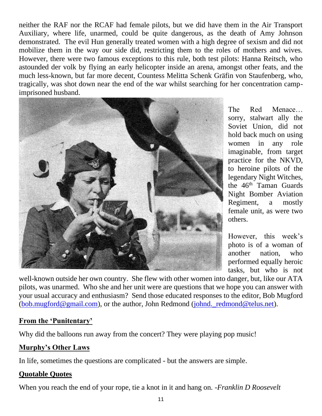neither the RAF nor the RCAF had female pilots, but we did have them in the Air Transport Auxiliary, where life, unarmed, could be quite dangerous, as the death of Amy Johnson demonstrated. The evil Hun generally treated women with a high degree of sexism and did not mobilize them in the way our side did, restricting them to the roles of mothers and wives. However, there were two famous exceptions to this rule, both test pilots: Hanna Reitsch, who astounded der volk by flying an early helicopter inside an arena, amongst other feats, and the much less-known, but far more decent, Countess Melitta Schenk Gräfin von Staufenberg, who, tragically, was shot down near the end of the war whilst searching for her concentration campimprisoned husband.



The Red Menace… sorry, stalwart ally the Soviet Union, did not hold back much on using women in any role imaginable, from target practice for the NKVD, to heroine pilots of the legendary Night Witches, the 46<sup>th</sup> Taman Guards Night Bomber Aviation Regiment, a mostly female unit, as were two others.

However, this week's photo is of a woman of another nation, who performed equally heroic tasks, but who is not

well-known outside her own country. She flew with other women into danger, but, like our ATA pilots, was unarmed. Who she and her unit were are questions that we hope you can answer with your usual accuracy and enthusiasm? Send those educated responses to the editor, Bob Mugford [\(bob.mugford@gmail.com\)](mailto:bob.mugford@gmail.com), or the author, John Redmond [\(johnd.\\_redmond@telus.net\)](mailto:johnd._redmond@telus.net).

#### **From the 'Punitentary'**

Why did the balloons run away from the concert? They were playing pop music!

### **Murphy's Other Laws**

In life, sometimes the questions are complicated - but the answers are simple.

#### **Quotable Quotes**

When you reach the end of your rope, tie a knot in it and hang on. -*Franklin D Roosevelt*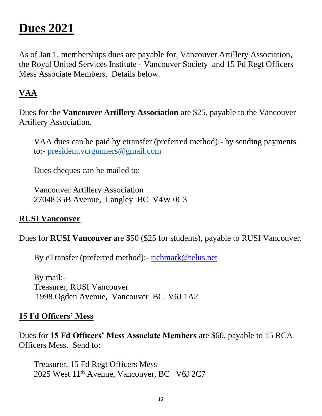# **Dues 2021**

As of Jan 1, memberships dues are payable for, Vancouver Artillery Association, the Royal United Services Institute - Vancouver Societyand 15 Fd Regt Officers Mess Associate Members. Details below.

## **VAA**

Dues for the **Vancouver Artillery Association** are \$25, payable to the Vancouver Artillery Association.

VAA dues can be paid by etransfer (preferred method):- by sending payments to:- [president.vcrgunners@gmail.com](mailto:president.vcrgunners@gmail.com)

Dues cheques can be mailed to:

Vancouver Artillery Association 27048 35B Avenue, Langley BC V4W 0C3

### **RUSI Vancouver**

Dues for **RUSI Vancouver** are \$50 (\$25 for students), payable to RUSI Vancouver.

By eTransfer (preferred method):- [richmark@telus.net](mailto:richmark@telus.net)

By mail:- Treasurer, RUSI Vancouver 1998 Ogden Avenue, Vancouver BC V6J 1A2

### **15 Fd Officers' Mess**

Dues for **15 Fd Officers' Mess Associate Members** are \$60, payable to 15 RCA Officers Mess. Send to:

Treasurer, 15 Fd Regt Officers Mess 2025 West 11<sup>th</sup> Avenue, Vancouver, BC V6J 2C7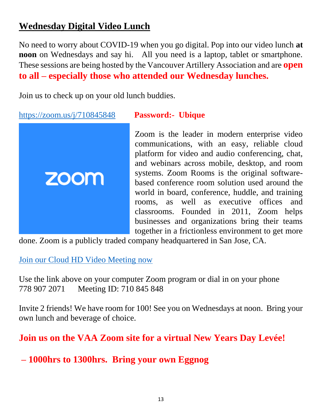# **Wednesday Digital Video Lunch**

No need to worry about COVID-19 when you go digital. Pop into our video lunch **at noon** on Wednesdays and say hi. All you need is a laptop, tablet or smartphone. These sessions are being hosted by the Vancouver Artillery Association and are **open to all – especially those who attended our Wednesday lunches.** 

Join us to check up on your old lunch buddies.

<https://zoom.us/j/710845848>**Password:- Ubique**



Zoom is the leader in modern enterprise video communications, with an easy, reliable cloud platform for video and audio conferencing, chat, and webinars across mobile, desktop, and room systems. Zoom Rooms is the original softwarebased conference room solution used around the world in board, conference, huddle, and training rooms, as well as executive offices and classrooms. Founded in 2011, Zoom helps businesses and organizations bring their teams together in a frictionless environment to get more

done. Zoom is a publicly traded company headquartered in San Jose, CA.

[Join our Cloud HD Video Meeting now](https://zoom.us/j/710845848)

Use the link above on your computer Zoom program or dial in on your phone 778 907 2071 Meeting ID: 710 845 848

Invite 2 friends! We have room for 100! See you on Wednesdays at noon. Bring your own lunch and beverage of choice.

**Join us on the VAA Zoom site for a virtual New Years Day Levée!**

**– 1000hrs to 1300hrs. Bring your own Eggnog**